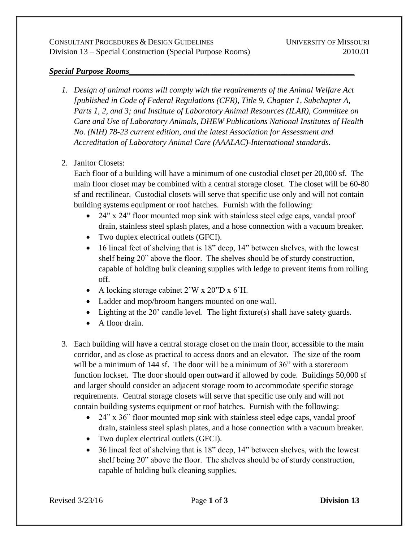## *Special Purpose Rooms\_\_\_\_\_\_\_\_\_\_\_\_\_\_\_\_\_\_\_\_\_\_\_\_\_\_\_\_\_\_\_\_\_\_\_\_\_\_\_\_\_\_\_\_\_\_\_\_\_\_\_\_\_\_\_*

- *1. Design of animal rooms will comply with the requirements of the Animal Welfare Act [published in Code of Federal Regulations (CFR), Title 9, Chapter 1, Subchapter A, Parts 1, 2, and 3; and Institute of Laboratory Animal Resources (ILAR), Committee on Care and Use of Laboratory Animals, DHEW Publications National Institutes of Health No. (NIH) 78-23 current edition, and the latest Association for Assessment and Accreditation of Laboratory Animal Care (AAALAC)-International standards.*
- 2. Janitor Closets:

Each floor of a building will have a minimum of one custodial closet per 20,000 sf. The main floor closet may be combined with a central storage closet. The closet will be 60-80 sf and rectilinear. Custodial closets will serve that specific use only and will not contain building systems equipment or roof hatches. Furnish with the following:

- 24" x 24" floor mounted mop sink with stainless steel edge caps, vandal proof drain, stainless steel splash plates, and a hose connection with a vacuum breaker.
- Two duplex electrical outlets (GFCI).
- 16 lineal feet of shelving that is 18" deep, 14" between shelves, with the lowest shelf being 20" above the floor. The shelves should be of sturdy construction, capable of holding bulk cleaning supplies with ledge to prevent items from rolling off.
- A locking storage cabinet 2'W x 20"D x 6'H.
- Ladder and mop/broom hangers mounted on one wall.
- Lighting at the 20' candle level. The light fixture(s) shall have safety guards.
- A floor drain.
- 3. Each building will have a central storage closet on the main floor, accessible to the main corridor, and as close as practical to access doors and an elevator. The size of the room will be a minimum of 144 sf. The door will be a minimum of 36" with a storeroom function lockset. The door should open outward if allowed by code. Buildings 50,000 sf and larger should consider an adjacent storage room to accommodate specific storage requirements. Central storage closets will serve that specific use only and will not contain building systems equipment or roof hatches. Furnish with the following:
	- 24" x 36" floor mounted mop sink with stainless steel edge caps, vandal proof drain, stainless steel splash plates, and a hose connection with a vacuum breaker.
	- Two duplex electrical outlets (GFCI).
	- 36 lineal feet of shelving that is 18" deep, 14" between shelves, with the lowest shelf being 20" above the floor. The shelves should be of sturdy construction, capable of holding bulk cleaning supplies.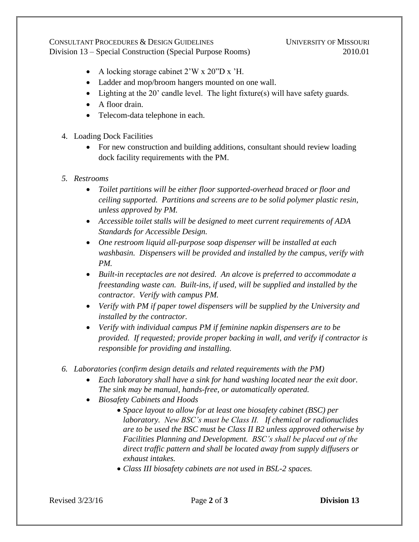CONSULTANT PROCEDURES & DESIGN GUIDELINES UNIVERSITY OF MISSOURI Division 13 – Special Construction (Special Purpose Rooms) 2010.01

- A locking storage cabinet 2'W x 20"D x 'H.
- Ladder and mop/broom hangers mounted on one wall.
- Lighting at the 20' candle level. The light fixture(s) will have safety guards.
- A floor drain.
- Telecom-data telephone in each.
- 4. Loading Dock Facilities
	- For new construction and building additions, consultant should review loading dock facility requirements with the PM.
- *5. Restrooms*
	- *Toilet partitions will be either floor supported-overhead braced or floor and ceiling supported. Partitions and screens are to be solid polymer plastic resin, unless approved by PM.*
	- *Accessible toilet stalls will be designed to meet current requirements of ADA Standards for Accessible Design.*
	- *One restroom liquid all-purpose soap dispenser will be installed at each washbasin. Dispensers will be provided and installed by the campus, verify with PM.*
	- *Built-in receptacles are not desired. An alcove is preferred to accommodate a freestanding waste can. Built-ins, if used, will be supplied and installed by the contractor. Verify with campus PM.*
	- *Verify with PM if paper towel dispensers will be supplied by the University and installed by the contractor.*
	- *Verify with individual campus PM if feminine napkin dispensers are to be provided. If requested; provide proper backing in wall, and verify if contractor is responsible for providing and installing.*
- *6. Laboratories (confirm design details and related requirements with the PM)*
	- *Each laboratory shall have a sink for hand washing located near the exit door. The sink may be manual, hands-free, or automatically operated.*
	- *Biosafety Cabinets and Hoods*
		- *Space layout to allow for at least one biosafety cabinet (BSC) per laboratory. New BSC's must be Class II. If chemical or radionuclides are to be used the BSC must be Class II B2 unless approved otherwise by Facilities Planning and Development. BSC's shall be placed out of the direct traffic pattern and shall be located away from supply diffusers or exhaust intakes.*
		- *Class III biosafety cabinets are not used in BSL-2 spaces.*